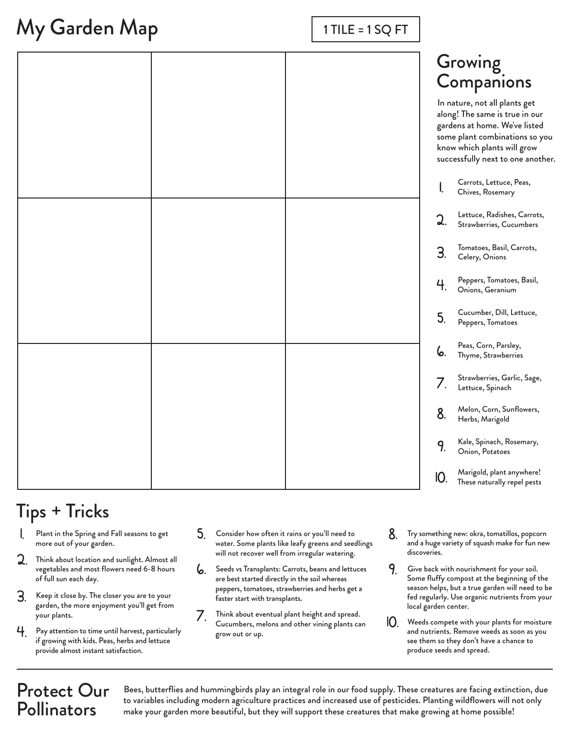## My Garden Map

| $1$ TILE = $1$ SQ FT |
|----------------------|
|----------------------|

### Growing **Companions**

In nature, not all plants get along! The same is true in our gardens at home. We've listed some plant combinations so you know which plants will grow successfully next to one another.

|  | know which plants will grow<br>successfully next to one anothe |                                                          |
|--|----------------------------------------------------------------|----------------------------------------------------------|
|  | I.                                                             | Carrots, Lettuce, Peas,<br>Chives, Rosemary              |
|  | 2.                                                             | Lettuce, Radishes, Carrots,<br>Strawberries, Cucumbers   |
|  | 3.                                                             | Tomatoes, Basil, Carrots,<br>Celery, Onions              |
|  | 4.                                                             | Peppers, Tomatoes, Basil,<br>Onions, Geranium            |
|  | 5.                                                             | Cucumber, Dill, Lettuce,<br>Peppers, Tomatoes            |
|  | 6.                                                             | Peas, Corn, Parsley,<br>Thyme, Strawberries              |
|  | 7.                                                             | Strawberries, Garlic, Sage,<br>Lettuce, Spinach          |
|  | 8.                                                             | Melon, Corn, Sunflowers,<br>Herbs, Marigold              |
|  | 9.                                                             | Kale, Spinach, Rosemary,<br>Onion, Potatoes              |
|  | 10.                                                            | Marigold, plant anywhere!<br>These naturally repel pests |

### Tips + Tricks

- 1. Plant in the Spring and Fall seasons to get more out of your garden.
- $\lambda$ Think about location and sunlight. Almost all vegetables and most flowers need 6-8 hours of full sun each day.
- 3. Keep it close by. The closer you are to your garden, the more enjoyment you'll get from your plants.
- Pay attention to time until harvest, particularly if growing with kids. Peas, herbs and lettuce provide almost instant satisfaction. 4.
- 5. Consider how often it rains or you'll need to water. Some plants like leafy greens and seedlings will not recover well from irregular watering.
- 6. Seeds vs Transplants: Carrots, beans and lettuces are best started directly in the soil whereas peppers, tomatoes, strawberries and herbs get a faster start with transplants.
- $\overline{\phantom{a}}$ Think about eventual plant height and spread. Cucumbers, melons and other vining plants can grow out or up.
- 8. Try something new: okra, tomatillos, popcorn and a huge variety of squash make for fun new discoveries.
- 9. Give back with nourishment for your soil. Some fluffy compost at the beginning of the season helps, but a true garden will need to be fed regularly. Use organic nutrients from your local garden center.
- 10. Weeds compete with your plants for moisture and nutrients. Remove weeds as soon as you see them so they don't have a chance to produce seeds and spread.

#### Protect Our **Pollinators**

Bees, butterflies and hummingbirds play an integral role in our food supply. These creatures are facing extinction, due to variables including modern agriculture practices and increased use of pesticides. Planting wildflowers will not only make your garden more beautiful, but they will support these creatures that make growing at home possible!